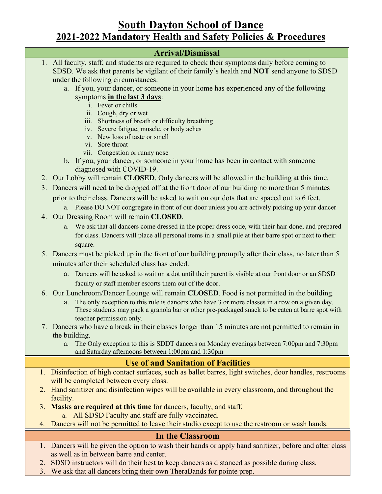# **South Dayton School of Dance 2021-2022 Mandatory Health and Safety Policies & Procedures**

## **Arrival/Dismissal**

- 1. All faculty, staff, and students are required to check their symptoms daily before coming to SDSD. We ask that parents be vigilant of their family's health and **NOT** send anyone to SDSD under the following circumstances: a. If you, your dancer, or someone in your home has experienced any of the following symptoms **in the last 3 days**: i. Fever or chills ii. Cough, dry or wet iii. Shortness of breath or difficulty breathing iv. Severe fatigue, muscle, or body aches v. New loss of taste or smell vi. Sore throat vii. Congestion or runny nose b. If you, your dancer, or someone in your home has been in contact with someone diagnosed with COVID-19. 2. Our Lobby will remain **CLOSED**. Only dancers will be allowed in the building at this time. 3. Dancers will need to be dropped off at the front door of our building no more than 5 minutes prior to their class. Dancers will be asked to wait on our dots that are spaced out to 6 feet. a. Please DO NOT congregate in front of our door unless you are actively picking up your dancer 4. Our Dressing Room will remain **CLOSED**. a. We ask that all dancers come dressed in the proper dress code, with their hair done, and prepared for class. Dancers will place all personal items in a small pile at their barre spot or next to their square. 5. Dancers must be picked up in the front of our building promptly after their class, no later than 5 minutes after their scheduled class has ended. a. Dancers will be asked to wait on a dot until their parent is visible at our front door or an SDSD faculty or staff member escorts them out of the door. 6. Our Lunchroom/Dancer Lounge will remain **CLOSED**. Food is not permitted in the building. a. The only exception to this rule is dancers who have 3 or more classes in a row on a given day. These students may pack a granola bar or other pre-packaged snack to be eaten at barre spot with teacher permission only. 7. Dancers who have a break in their classes longer than 15 minutes are not permitted to remain in the building. a. The Only exception to this is SDDT dancers on Monday evenings between 7:00pm and 7:30pm and Saturday afternoons between 1:00pm and 1:30pm **Use of and Sanitation of Facilities** 1. Disinfection of high contact surfaces, such as ballet barres, light switches, door handles, restrooms will be completed between every class. 2. Hand sanitizer and disinfection wipes will be available in every classroom, and throughout the facility. 3. **Masks are required at this time** for dancers, faculty, and staff. a. All SDSD Faculty and staff are fully vaccinated. 4. Dancers will not be permitted to leave their studio except to use the restroom or wash hands. **In the Classroom** 1. Dancers will be given the option to wash their hands or apply hand sanitizer, before and after class as well as in between barre and center. 2. SDSD instructors will do their best to keep dancers as distanced as possible during class.
	- 3. We ask that all dancers bring their own TheraBands for pointe prep.